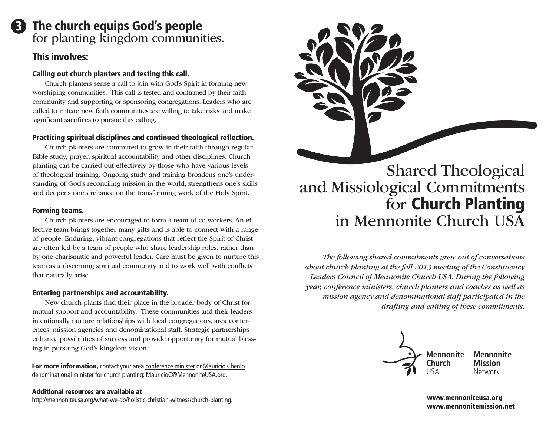## **3** The church equips God's people for planting kingdom communities.

## This involves:

#### Calling out church planters and testing this call.

Church planters sense a call to join with God's Spirit in forming new worshiping communities. This call is tested and confirmed by their faith community and supporting or sponsoring congregations. Leaders who are called to initiate new faith communities are willing to take risks and make significant sacrifices to pursue this calling.

#### Practicing spiritual disciplines and continued theological reflection.

Church planters are committed to grow in their faith through regular Bible study, prayer, spiritual accountability and other disciplines. Church planting can be carried out effectively by those who have various levels of theological training. Ongoing study and training broadens one's understanding of God's reconciling mission in the world, strengthens one's skills and deepens one's reliance on the transforming work of the Holy Spirit.

#### Forming teams.

Church planters are encouraged to form a team of co-workers. An effective team brings together many gifts and is able to connect with a range of people. Enduring, vibrant congregations that reflect the Spirit of Christ are often led by a team of people who share leadership roles, rather than by one charismatic and powerful leader. Care must be given to nurture this team as a discerning spiritual community and to work well with conflicts that naturally arise.

### Entering partnerships and accountability.

New church plants find their place in the broader body of Christ for mutual support and accountability. These communities and their leaders intentionally nurture relationships with local congregations, area conferences, mission agencies and denominational staff. Strategic partnerships enhance possibilities of success and provide opportunity for mutual blessing in pursuing God's kingdom vision.

For more information, contact your area [conference minister](http://mennoniteusa.org/who-we-are/structure/area-conferences/) or [Mauricio Chenlo](mailto:MauricioC@MennoniteUSA.org), denominational minister for church planting: MauricioC@MennoniteUSA.org.

#### Additional resources are available at [http://mennoniteusa.org/what-we-do/holistic-christian-witness/church-planting](http://mennoniteusa.org/what-we-do/holistic-christian-witness/church-planting/).

# Shared Theological and Missiological Commitments for Church Planting in Mennonite Church USA

*The following shared commitments grew out of conversations about church planting at the fall 2013 meeting of the Constituency Leaders Council of Mennonite Church USA. During the following year, conference ministers, church planters and coaches as well as mission agency and denominational staff participated in the drafting and editing of these commitments.*



www.mennoniteusa.org www.mennonitemission.net